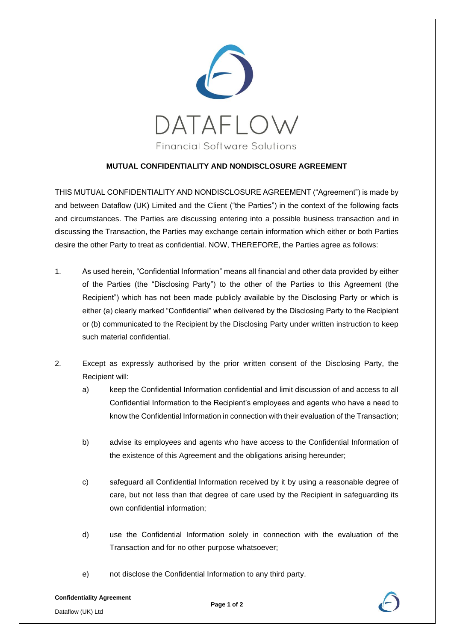

## **MUTUAL CONFIDENTIALITY AND NONDISCLOSURE AGREEMENT**

THIS MUTUAL CONFIDENTIALITY AND NONDISCLOSURE AGREEMENT ("Agreement") is made by and between Dataflow (UK) Limited and the Client ("the Parties") in the context of the following facts and circumstances. The Parties are discussing entering into a possible business transaction and in discussing the Transaction, the Parties may exchange certain information which either or both Parties desire the other Party to treat as confidential. NOW, THEREFORE, the Parties agree as follows:

- 1. As used herein, "Confidential Information" means all financial and other data provided by either of the Parties (the "Disclosing Party") to the other of the Parties to this Agreement (the Recipient") which has not been made publicly available by the Disclosing Party or which is either (a) clearly marked "Confidential" when delivered by the Disclosing Party to the Recipient or (b) communicated to the Recipient by the Disclosing Party under written instruction to keep such material confidential.
- 2. Except as expressly authorised by the prior written consent of the Disclosing Party, the Recipient will:
	- a) keep the Confidential Information confidential and limit discussion of and access to all Confidential Information to the Recipient's employees and agents who have a need to know the Confidential Information in connection with their evaluation of the Transaction;
	- b) advise its employees and agents who have access to the Confidential Information of the existence of this Agreement and the obligations arising hereunder;
	- c) safeguard all Confidential Information received by it by using a reasonable degree of care, but not less than that degree of care used by the Recipient in safeguarding its own confidential information;
	- d) use the Confidential Information solely in connection with the evaluation of the Transaction and for no other purpose whatsoever;
	- e) not disclose the Confidential Information to any third party.